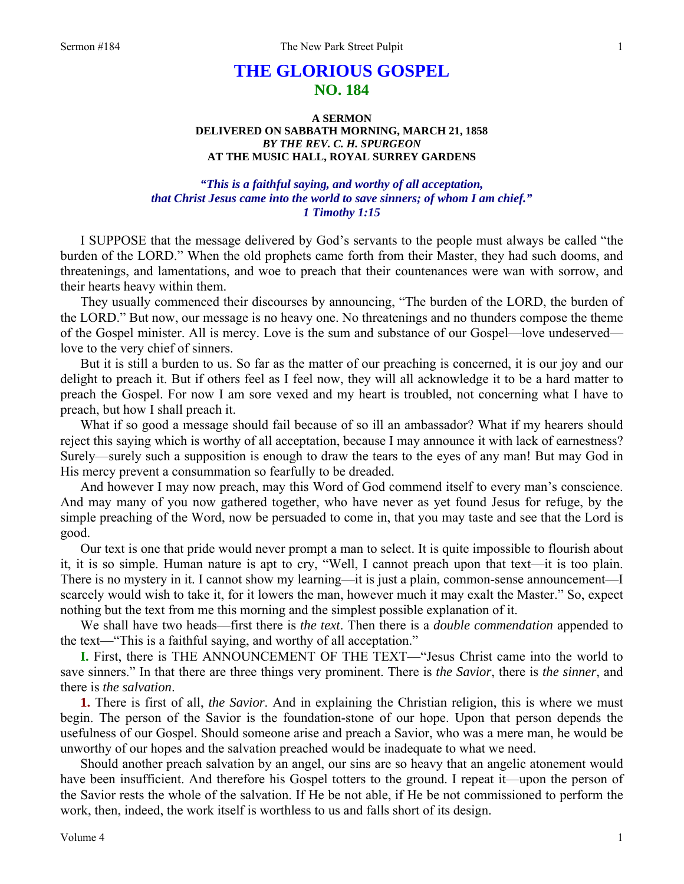# **THE GLORIOUS GOSPEL NO. 184**

#### **A SERMON DELIVERED ON SABBATH MORNING, MARCH 21, 1858**  *BY THE REV. C. H. SPURGEON*  **AT THE MUSIC HALL, ROYAL SURREY GARDENS**

# *"This is a faithful saying, and worthy of all acceptation, that Christ Jesus came into the world to save sinners; of whom I am chief." 1 Timothy 1:15*

I SUPPOSE that the message delivered by God's servants to the people must always be called "the burden of the LORD." When the old prophets came forth from their Master, they had such dooms, and threatenings, and lamentations, and woe to preach that their countenances were wan with sorrow, and their hearts heavy within them.

They usually commenced their discourses by announcing, "The burden of the LORD, the burden of the LORD." But now, our message is no heavy one. No threatenings and no thunders compose the theme of the Gospel minister. All is mercy. Love is the sum and substance of our Gospel—love undeserved love to the very chief of sinners.

But it is still a burden to us. So far as the matter of our preaching is concerned, it is our joy and our delight to preach it. But if others feel as I feel now, they will all acknowledge it to be a hard matter to preach the Gospel. For now I am sore vexed and my heart is troubled, not concerning what I have to preach, but how I shall preach it.

What if so good a message should fail because of so ill an ambassador? What if my hearers should reject this saying which is worthy of all acceptation, because I may announce it with lack of earnestness? Surely—surely such a supposition is enough to draw the tears to the eyes of any man! But may God in His mercy prevent a consummation so fearfully to be dreaded.

And however I may now preach, may this Word of God commend itself to every man's conscience. And may many of you now gathered together, who have never as yet found Jesus for refuge, by the simple preaching of the Word, now be persuaded to come in, that you may taste and see that the Lord is good.

Our text is one that pride would never prompt a man to select. It is quite impossible to flourish about it, it is so simple. Human nature is apt to cry, "Well, I cannot preach upon that text—it is too plain. There is no mystery in it. I cannot show my learning—it is just a plain, common-sense announcement—I scarcely would wish to take it, for it lowers the man, however much it may exalt the Master." So, expect nothing but the text from me this morning and the simplest possible explanation of it.

We shall have two heads—first there is *the text*. Then there is a *double commendation* appended to the text—"This is a faithful saying, and worthy of all acceptation."

**I.** First, there is THE ANNOUNCEMENT OF THE TEXT—"Jesus Christ came into the world to save sinners." In that there are three things very prominent. There is *the Savior*, there is *the sinner*, and there is *the salvation*.

**1.** There is first of all, *the Savior*. And in explaining the Christian religion, this is where we must begin. The person of the Savior is the foundation-stone of our hope. Upon that person depends the usefulness of our Gospel. Should someone arise and preach a Savior, who was a mere man, he would be unworthy of our hopes and the salvation preached would be inadequate to what we need.

Should another preach salvation by an angel, our sins are so heavy that an angelic atonement would have been insufficient. And therefore his Gospel totters to the ground. I repeat it—upon the person of the Savior rests the whole of the salvation. If He be not able, if He be not commissioned to perform the work, then, indeed, the work itself is worthless to us and falls short of its design.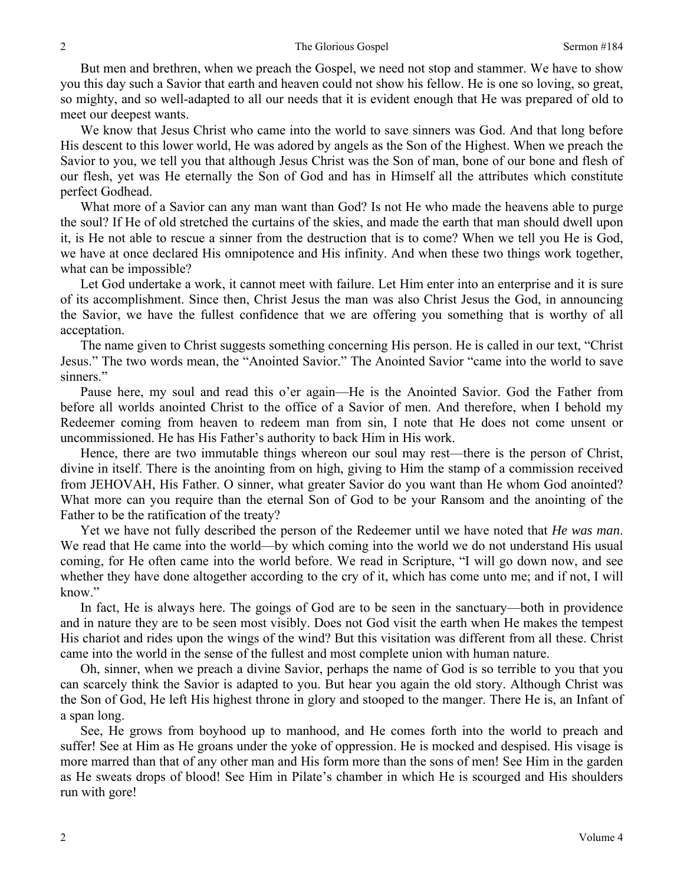But men and brethren, when we preach the Gospel, we need not stop and stammer. We have to show you this day such a Savior that earth and heaven could not show his fellow. He is one so loving, so great, so mighty, and so well-adapted to all our needs that it is evident enough that He was prepared of old to meet our deepest wants.

We know that Jesus Christ who came into the world to save sinners was God. And that long before His descent to this lower world, He was adored by angels as the Son of the Highest. When we preach the Savior to you, we tell you that although Jesus Christ was the Son of man, bone of our bone and flesh of our flesh, yet was He eternally the Son of God and has in Himself all the attributes which constitute perfect Godhead.

What more of a Savior can any man want than God? Is not He who made the heavens able to purge the soul? If He of old stretched the curtains of the skies, and made the earth that man should dwell upon it, is He not able to rescue a sinner from the destruction that is to come? When we tell you He is God, we have at once declared His omnipotence and His infinity. And when these two things work together, what can be impossible?

Let God undertake a work, it cannot meet with failure. Let Him enter into an enterprise and it is sure of its accomplishment. Since then, Christ Jesus the man was also Christ Jesus the God, in announcing the Savior, we have the fullest confidence that we are offering you something that is worthy of all acceptation.

The name given to Christ suggests something concerning His person. He is called in our text, "Christ Jesus." The two words mean, the "Anointed Savior." The Anointed Savior "came into the world to save sinners."

Pause here, my soul and read this o'er again—He is the Anointed Savior. God the Father from before all worlds anointed Christ to the office of a Savior of men. And therefore, when I behold my Redeemer coming from heaven to redeem man from sin, I note that He does not come unsent or uncommissioned. He has His Father's authority to back Him in His work.

Hence, there are two immutable things whereon our soul may rest—there is the person of Christ, divine in itself. There is the anointing from on high, giving to Him the stamp of a commission received from JEHOVAH, His Father. O sinner, what greater Savior do you want than He whom God anointed? What more can you require than the eternal Son of God to be your Ransom and the anointing of the Father to be the ratification of the treaty?

Yet we have not fully described the person of the Redeemer until we have noted that *He was man*. We read that He came into the world—by which coming into the world we do not understand His usual coming, for He often came into the world before. We read in Scripture, "I will go down now, and see whether they have done altogether according to the cry of it, which has come unto me; and if not, I will know."

In fact, He is always here. The goings of God are to be seen in the sanctuary—both in providence and in nature they are to be seen most visibly. Does not God visit the earth when He makes the tempest His chariot and rides upon the wings of the wind? But this visitation was different from all these. Christ came into the world in the sense of the fullest and most complete union with human nature.

Oh, sinner, when we preach a divine Savior, perhaps the name of God is so terrible to you that you can scarcely think the Savior is adapted to you. But hear you again the old story. Although Christ was the Son of God, He left His highest throne in glory and stooped to the manger. There He is, an Infant of a span long.

See, He grows from boyhood up to manhood, and He comes forth into the world to preach and suffer! See at Him as He groans under the yoke of oppression. He is mocked and despised. His visage is more marred than that of any other man and His form more than the sons of men! See Him in the garden as He sweats drops of blood! See Him in Pilate's chamber in which He is scourged and His shoulders run with gore!

2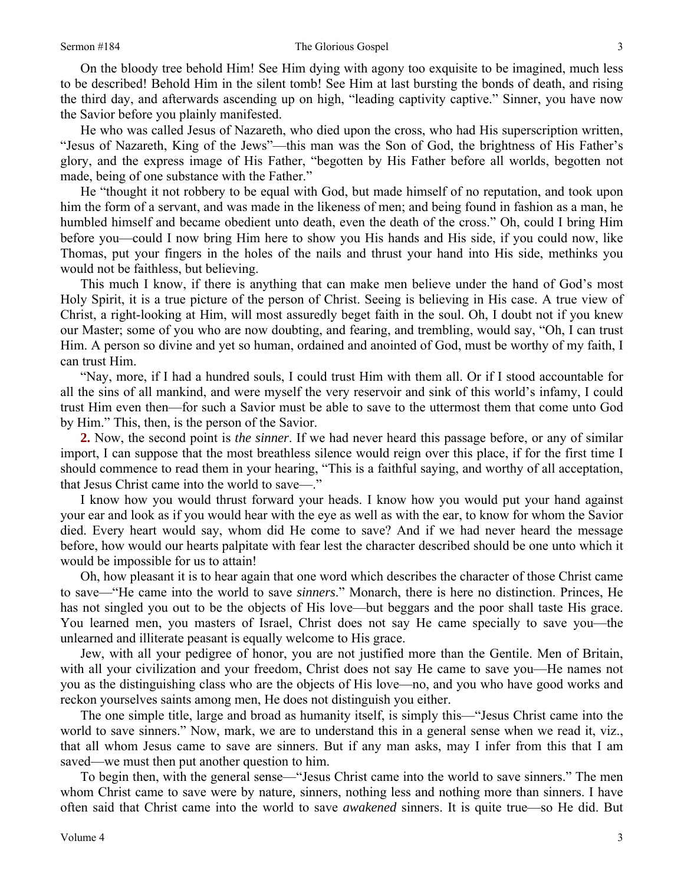On the bloody tree behold Him! See Him dying with agony too exquisite to be imagined, much less to be described! Behold Him in the silent tomb! See Him at last bursting the bonds of death, and rising the third day, and afterwards ascending up on high, "leading captivity captive." Sinner, you have now the Savior before you plainly manifested.

He who was called Jesus of Nazareth, who died upon the cross, who had His superscription written, "Jesus of Nazareth, King of the Jews"—this man was the Son of God, the brightness of His Father's glory, and the express image of His Father, "begotten by His Father before all worlds, begotten not made, being of one substance with the Father."

He "thought it not robbery to be equal with God, but made himself of no reputation, and took upon him the form of a servant, and was made in the likeness of men; and being found in fashion as a man, he humbled himself and became obedient unto death, even the death of the cross." Oh, could I bring Him before you—could I now bring Him here to show you His hands and His side, if you could now, like Thomas, put your fingers in the holes of the nails and thrust your hand into His side, methinks you would not be faithless, but believing.

This much I know, if there is anything that can make men believe under the hand of God's most Holy Spirit, it is a true picture of the person of Christ. Seeing is believing in His case. A true view of Christ, a right-looking at Him, will most assuredly beget faith in the soul. Oh, I doubt not if you knew our Master; some of you who are now doubting, and fearing, and trembling, would say, "Oh, I can trust Him. A person so divine and yet so human, ordained and anointed of God, must be worthy of my faith, I can trust Him.

"Nay, more, if I had a hundred souls, I could trust Him with them all. Or if I stood accountable for all the sins of all mankind, and were myself the very reservoir and sink of this world's infamy, I could trust Him even then—for such a Savior must be able to save to the uttermost them that come unto God by Him." This, then, is the person of the Savior.

**2.** Now, the second point is *the sinner*. If we had never heard this passage before, or any of similar import, I can suppose that the most breathless silence would reign over this place, if for the first time I should commence to read them in your hearing, "This is a faithful saying, and worthy of all acceptation, that Jesus Christ came into the world to save—."

I know how you would thrust forward your heads. I know how you would put your hand against your ear and look as if you would hear with the eye as well as with the ear, to know for whom the Savior died. Every heart would say, whom did He come to save? And if we had never heard the message before, how would our hearts palpitate with fear lest the character described should be one unto which it would be impossible for us to attain!

Oh, how pleasant it is to hear again that one word which describes the character of those Christ came to save—"He came into the world to save *sinners*." Monarch, there is here no distinction. Princes, He has not singled you out to be the objects of His love—but beggars and the poor shall taste His grace. You learned men, you masters of Israel, Christ does not say He came specially to save you—the unlearned and illiterate peasant is equally welcome to His grace.

Jew, with all your pedigree of honor, you are not justified more than the Gentile. Men of Britain, with all your civilization and your freedom, Christ does not say He came to save you—He names not you as the distinguishing class who are the objects of His love—no, and you who have good works and reckon yourselves saints among men, He does not distinguish you either.

The one simple title, large and broad as humanity itself, is simply this—"Jesus Christ came into the world to save sinners." Now, mark, we are to understand this in a general sense when we read it, viz., that all whom Jesus came to save are sinners. But if any man asks, may I infer from this that I am saved—we must then put another question to him.

To begin then, with the general sense—"Jesus Christ came into the world to save sinners." The men whom Christ came to save were by nature*,* sinners, nothing less and nothing more than sinners. I have often said that Christ came into the world to save *awakened* sinners. It is quite true—so He did. But

3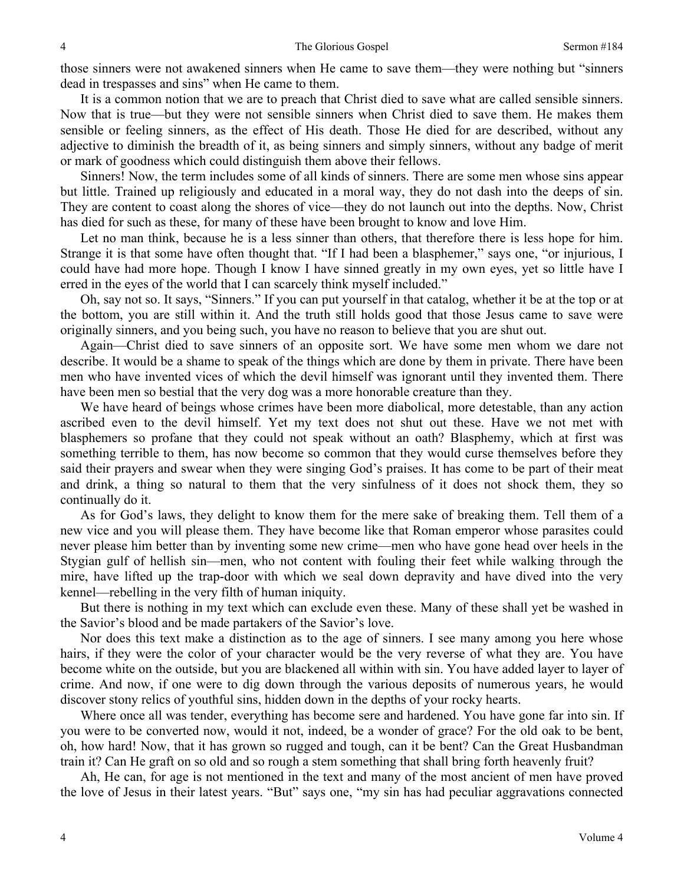those sinners were not awakened sinners when He came to save them—they were nothing but "sinners dead in trespasses and sins" when He came to them.

It is a common notion that we are to preach that Christ died to save what are called sensible sinners. Now that is true—but they were not sensible sinners when Christ died to save them. He makes them sensible or feeling sinners, as the effect of His death. Those He died for are described, without any adjective to diminish the breadth of it, as being sinners and simply sinners, without any badge of merit or mark of goodness which could distinguish them above their fellows.

Sinners! Now, the term includes some of all kinds of sinners. There are some men whose sins appear but little. Trained up religiously and educated in a moral way, they do not dash into the deeps of sin. They are content to coast along the shores of vice—they do not launch out into the depths. Now, Christ has died for such as these, for many of these have been brought to know and love Him.

Let no man think, because he is a less sinner than others, that therefore there is less hope for him. Strange it is that some have often thought that. "If I had been a blasphemer," says one, "or injurious, I could have had more hope. Though I know I have sinned greatly in my own eyes, yet so little have I erred in the eyes of the world that I can scarcely think myself included."

Oh, say not so. It says, "Sinners." If you can put yourself in that catalog, whether it be at the top or at the bottom, you are still within it. And the truth still holds good that those Jesus came to save were originally sinners, and you being such, you have no reason to believe that you are shut out.

Again—Christ died to save sinners of an opposite sort. We have some men whom we dare not describe. It would be a shame to speak of the things which are done by them in private. There have been men who have invented vices of which the devil himself was ignorant until they invented them. There have been men so bestial that the very dog was a more honorable creature than they.

We have heard of beings whose crimes have been more diabolical, more detestable, than any action ascribed even to the devil himself. Yet my text does not shut out these. Have we not met with blasphemers so profane that they could not speak without an oath? Blasphemy, which at first was something terrible to them, has now become so common that they would curse themselves before they said their prayers and swear when they were singing God's praises. It has come to be part of their meat and drink, a thing so natural to them that the very sinfulness of it does not shock them, they so continually do it.

As for God's laws, they delight to know them for the mere sake of breaking them. Tell them of a new vice and you will please them. They have become like that Roman emperor whose parasites could never please him better than by inventing some new crime—men who have gone head over heels in the Stygian gulf of hellish sin—men, who not content with fouling their feet while walking through the mire, have lifted up the trap-door with which we seal down depravity and have dived into the very kennel—rebelling in the very filth of human iniquity.

But there is nothing in my text which can exclude even these. Many of these shall yet be washed in the Savior's blood and be made partakers of the Savior's love.

Nor does this text make a distinction as to the age of sinners. I see many among you here whose hairs, if they were the color of your character would be the very reverse of what they are. You have become white on the outside, but you are blackened all within with sin. You have added layer to layer of crime. And now, if one were to dig down through the various deposits of numerous years, he would discover stony relics of youthful sins, hidden down in the depths of your rocky hearts.

Where once all was tender, everything has become sere and hardened. You have gone far into sin. If you were to be converted now, would it not, indeed, be a wonder of grace? For the old oak to be bent, oh, how hard! Now, that it has grown so rugged and tough, can it be bent? Can the Great Husbandman train it? Can He graft on so old and so rough a stem something that shall bring forth heavenly fruit?

Ah, He can, for age is not mentioned in the text and many of the most ancient of men have proved the love of Jesus in their latest years. "But" says one, "my sin has had peculiar aggravations connected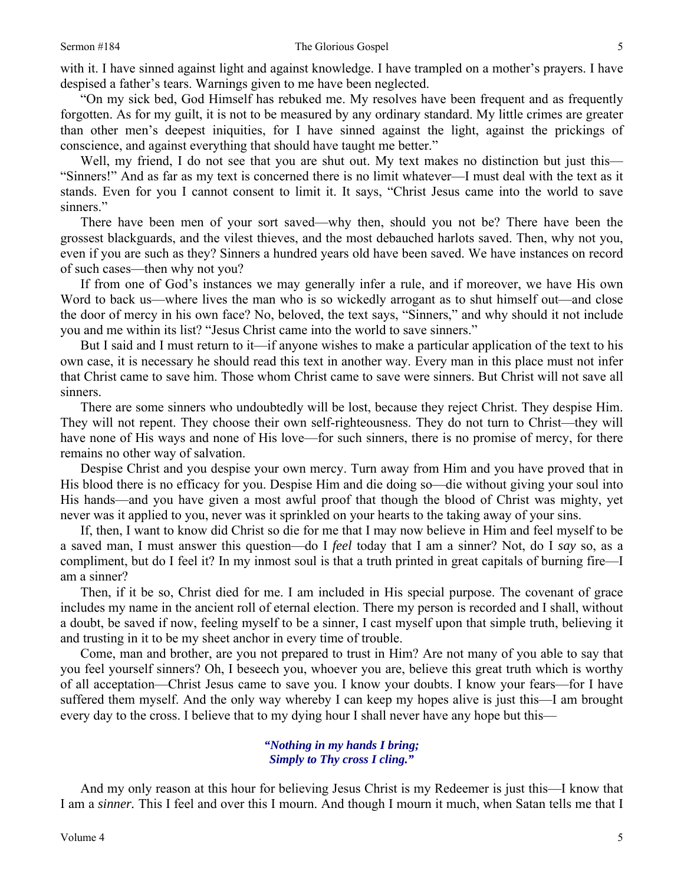with it. I have sinned against light and against knowledge. I have trampled on a mother's prayers. I have despised a father's tears. Warnings given to me have been neglected.

"On my sick bed, God Himself has rebuked me. My resolves have been frequent and as frequently forgotten. As for my guilt, it is not to be measured by any ordinary standard. My little crimes are greater than other men's deepest iniquities, for I have sinned against the light, against the prickings of conscience, and against everything that should have taught me better."

Well, my friend, I do not see that you are shut out. My text makes no distinction but just this— "Sinners!" And as far as my text is concerned there is no limit whatever—I must deal with the text as it stands. Even for you I cannot consent to limit it. It says, "Christ Jesus came into the world to save sinners."

There have been men of your sort saved—why then, should you not be? There have been the grossest blackguards, and the vilest thieves, and the most debauched harlots saved. Then, why not you, even if you are such as they? Sinners a hundred years old have been saved. We have instances on record of such cases—then why not you?

If from one of God's instances we may generally infer a rule, and if moreover, we have His own Word to back us—where lives the man who is so wickedly arrogant as to shut himself out—and close the door of mercy in his own face? No, beloved, the text says, "Sinners," and why should it not include you and me within its list? "Jesus Christ came into the world to save sinners."

But I said and I must return to it—if anyone wishes to make a particular application of the text to his own case, it is necessary he should read this text in another way. Every man in this place must not infer that Christ came to save him. Those whom Christ came to save were sinners. But Christ will not save all sinners.

There are some sinners who undoubtedly will be lost, because they reject Christ. They despise Him. They will not repent. They choose their own self-righteousness. They do not turn to Christ—they will have none of His ways and none of His love—for such sinners, there is no promise of mercy, for there remains no other way of salvation.

Despise Christ and you despise your own mercy. Turn away from Him and you have proved that in His blood there is no efficacy for you. Despise Him and die doing so—die without giving your soul into His hands—and you have given a most awful proof that though the blood of Christ was mighty, yet never was it applied to you, never was it sprinkled on your hearts to the taking away of your sins.

If, then, I want to know did Christ so die for me that I may now believe in Him and feel myself to be a saved man, I must answer this question—do I *feel* today that I am a sinner? Not, do I *say* so, as a compliment, but do I feel it? In my inmost soul is that a truth printed in great capitals of burning fire—I am a sinner?

Then, if it be so, Christ died for me. I am included in His special purpose. The covenant of grace includes my name in the ancient roll of eternal election. There my person is recorded and I shall, without a doubt, be saved if now, feeling myself to be a sinner, I cast myself upon that simple truth, believing it and trusting in it to be my sheet anchor in every time of trouble.

Come, man and brother, are you not prepared to trust in Him? Are not many of you able to say that you feel yourself sinners? Oh, I beseech you, whoever you are, believe this great truth which is worthy of all acceptation—Christ Jesus came to save you. I know your doubts. I know your fears—for I have suffered them myself. And the only way whereby I can keep my hopes alive is just this—I am brought every day to the cross. I believe that to my dying hour I shall never have any hope but this—

### *"Nothing in my hands I bring; Simply to Thy cross I cling."*

And my only reason at this hour for believing Jesus Christ is my Redeemer is just this—I know that I am a *sinner.* This I feel and over this I mourn. And though I mourn it much, when Satan tells me that I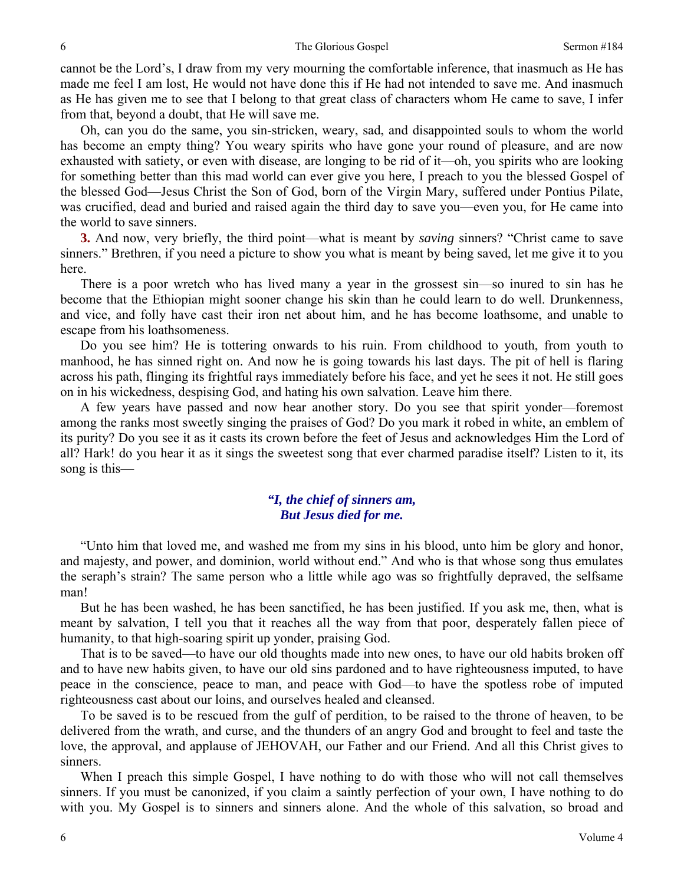cannot be the Lord's, I draw from my very mourning the comfortable inference, that inasmuch as He has made me feel I am lost, He would not have done this if He had not intended to save me. And inasmuch as He has given me to see that I belong to that great class of characters whom He came to save, I infer from that, beyond a doubt, that He will save me.

Oh, can you do the same, you sin-stricken, weary, sad, and disappointed souls to whom the world has become an empty thing? You weary spirits who have gone your round of pleasure, and are now exhausted with satiety, or even with disease, are longing to be rid of it—oh, you spirits who are looking for something better than this mad world can ever give you here, I preach to you the blessed Gospel of the blessed God—Jesus Christ the Son of God, born of the Virgin Mary, suffered under Pontius Pilate, was crucified, dead and buried and raised again the third day to save you—even you, for He came into the world to save sinners.

**3.** And now, very briefly, the third point—what is meant by *saving* sinners? "Christ came to save sinners." Brethren, if you need a picture to show you what is meant by being saved, let me give it to you here.

There is a poor wretch who has lived many a year in the grossest sin—so inured to sin has he become that the Ethiopian might sooner change his skin than he could learn to do well. Drunkenness, and vice, and folly have cast their iron net about him, and he has become loathsome, and unable to escape from his loathsomeness.

Do you see him? He is tottering onwards to his ruin. From childhood to youth, from youth to manhood, he has sinned right on. And now he is going towards his last days. The pit of hell is flaring across his path, flinging its frightful rays immediately before his face, and yet he sees it not. He still goes on in his wickedness, despising God, and hating his own salvation. Leave him there.

A few years have passed and now hear another story. Do you see that spirit yonder—foremost among the ranks most sweetly singing the praises of God? Do you mark it robed in white, an emblem of its purity? Do you see it as it casts its crown before the feet of Jesus and acknowledges Him the Lord of all? Hark! do you hear it as it sings the sweetest song that ever charmed paradise itself? Listen to it, its song is this—

# *"I, the chief of sinners am, But Jesus died for me.*

"Unto him that loved me, and washed me from my sins in his blood, unto him be glory and honor, and majesty, and power, and dominion, world without end." And who is that whose song thus emulates the seraph's strain? The same person who a little while ago was so frightfully depraved, the selfsame man!

But he has been washed, he has been sanctified, he has been justified. If you ask me, then, what is meant by salvation, I tell you that it reaches all the way from that poor, desperately fallen piece of humanity, to that high-soaring spirit up yonder, praising God.

That is to be saved—to have our old thoughts made into new ones, to have our old habits broken off and to have new habits given, to have our old sins pardoned and to have righteousness imputed, to have peace in the conscience, peace to man, and peace with God—to have the spotless robe of imputed righteousness cast about our loins, and ourselves healed and cleansed.

To be saved is to be rescued from the gulf of perdition, to be raised to the throne of heaven, to be delivered from the wrath, and curse, and the thunders of an angry God and brought to feel and taste the love, the approval, and applause of JEHOVAH, our Father and our Friend. And all this Christ gives to sinners.

When I preach this simple Gospel, I have nothing to do with those who will not call themselves sinners. If you must be canonized, if you claim a saintly perfection of your own, I have nothing to do with you. My Gospel is to sinners and sinners alone. And the whole of this salvation, so broad and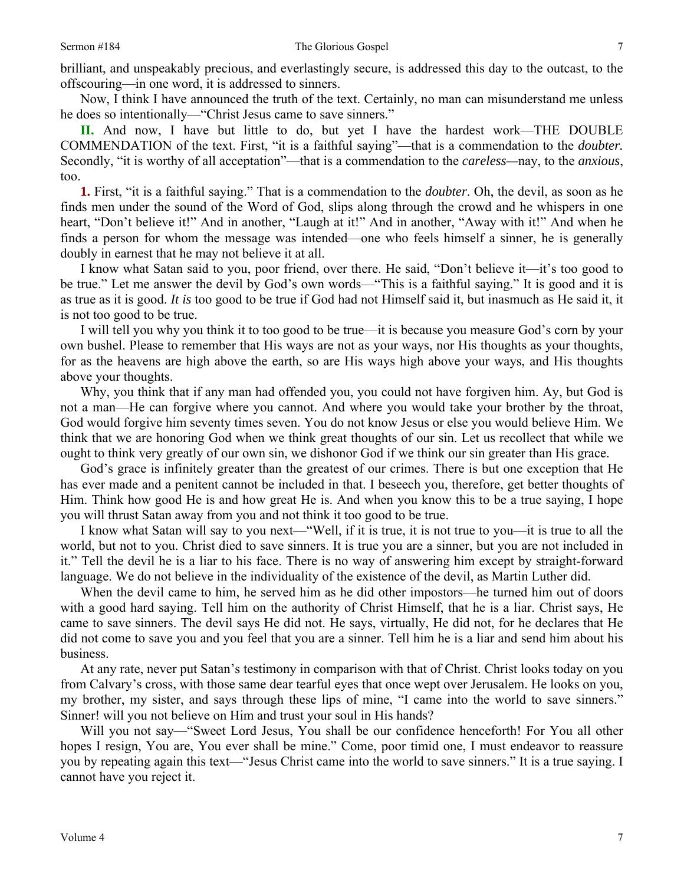Now, I think I have announced the truth of the text. Certainly, no man can misunderstand me unless he does so intentionally—"Christ Jesus came to save sinners."

**II.** And now, I have but little to do, but yet I have the hardest work—THE DOUBLE COMMENDATION of the text. First, "it is a faithful saying"—that is a commendation to the *doubter.* Secondly, "it is worthy of all acceptation"—that is a commendation to the *careless—*nay, to the *anxious*, too.

**1.** First, "it is a faithful saying." That is a commendation to the *doubter*. Oh, the devil, as soon as he finds men under the sound of the Word of God, slips along through the crowd and he whispers in one heart, "Don't believe it!" And in another, "Laugh at it!" And in another, "Away with it!" And when he finds a person for whom the message was intended—one who feels himself a sinner, he is generally doubly in earnest that he may not believe it at all.

I know what Satan said to you, poor friend, over there. He said, "Don't believe it—it's too good to be true." Let me answer the devil by God's own words—"This is a faithful saying." It is good and it is as true as it is good. *It is* too good to be true if God had not Himself said it, but inasmuch as He said it, it is not too good to be true.

I will tell you why you think it to too good to be true—it is because you measure God's corn by your own bushel. Please to remember that His ways are not as your ways, nor His thoughts as your thoughts, for as the heavens are high above the earth, so are His ways high above your ways, and His thoughts above your thoughts.

Why, you think that if any man had offended you, you could not have forgiven him. Ay, but God is not a man—He can forgive where you cannot. And where you would take your brother by the throat, God would forgive him seventy times seven. You do not know Jesus or else you would believe Him. We think that we are honoring God when we think great thoughts of our sin. Let us recollect that while we ought to think very greatly of our own sin, we dishonor God if we think our sin greater than His grace.

God's grace is infinitely greater than the greatest of our crimes. There is but one exception that He has ever made and a penitent cannot be included in that. I beseech you, therefore, get better thoughts of Him. Think how good He is and how great He is. And when you know this to be a true saying, I hope you will thrust Satan away from you and not think it too good to be true.

I know what Satan will say to you next—"Well, if it is true, it is not true to you—it is true to all the world, but not to you. Christ died to save sinners. It is true you are a sinner, but you are not included in it." Tell the devil he is a liar to his face. There is no way of answering him except by straight-forward language. We do not believe in the individuality of the existence of the devil, as Martin Luther did.

When the devil came to him, he served him as he did other impostors—he turned him out of doors with a good hard saying. Tell him on the authority of Christ Himself, that he is a liar. Christ says, He came to save sinners. The devil says He did not. He says, virtually, He did not, for he declares that He did not come to save you and you feel that you are a sinner. Tell him he is a liar and send him about his business.

At any rate, never put Satan's testimony in comparison with that of Christ. Christ looks today on you from Calvary's cross, with those same dear tearful eyes that once wept over Jerusalem. He looks on you, my brother, my sister, and says through these lips of mine, "I came into the world to save sinners." Sinner! will you not believe on Him and trust your soul in His hands?

Will you not say—"Sweet Lord Jesus, You shall be our confidence henceforth! For You all other hopes I resign, You are, You ever shall be mine." Come, poor timid one, I must endeavor to reassure you by repeating again this text—"Jesus Christ came into the world to save sinners." It is a true saying. I cannot have you reject it.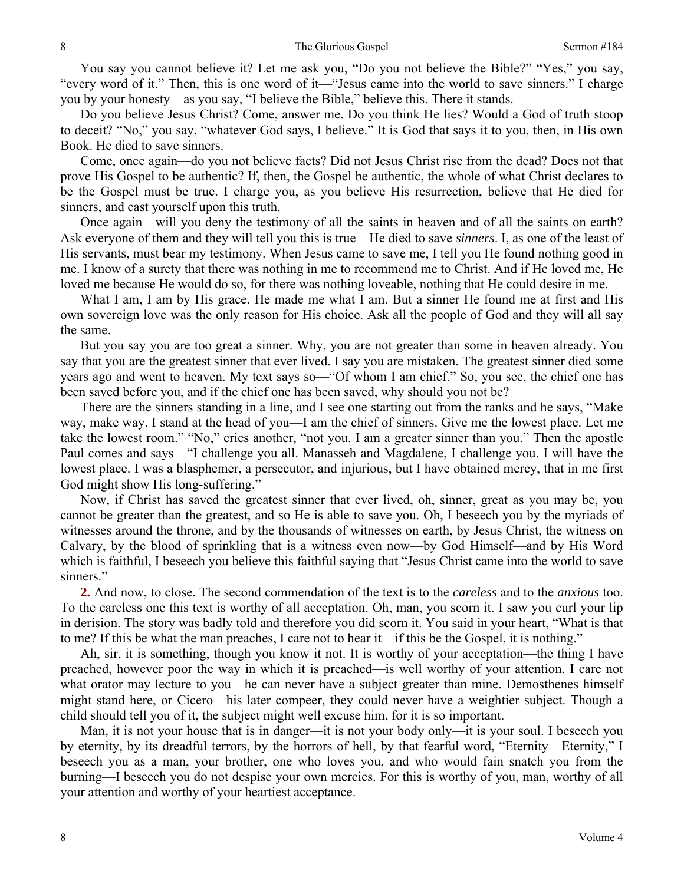You say you cannot believe it? Let me ask you, "Do you not believe the Bible?" "Yes," you say, "every word of it." Then, this is one word of it—"Jesus came into the world to save sinners." I charge you by your honesty—as you say, "I believe the Bible," believe this. There it stands.

Do you believe Jesus Christ? Come, answer me. Do you think He lies? Would a God of truth stoop to deceit? "No," you say, "whatever God says, I believe." It is God that says it to you, then, in His own Book. He died to save sinners.

Come, once again—do you not believe facts? Did not Jesus Christ rise from the dead? Does not that prove His Gospel to be authentic? If, then, the Gospel be authentic, the whole of what Christ declares to be the Gospel must be true. I charge you, as you believe His resurrection, believe that He died for sinners, and cast yourself upon this truth.

Once again—will you deny the testimony of all the saints in heaven and of all the saints on earth? Ask everyone of them and they will tell you this is true—He died to save *sinners*. I, as one of the least of His servants, must bear my testimony. When Jesus came to save me, I tell you He found nothing good in me. I know of a surety that there was nothing in me to recommend me to Christ. And if He loved me, He loved me because He would do so, for there was nothing loveable, nothing that He could desire in me.

What I am, I am by His grace. He made me what I am. But a sinner He found me at first and His own sovereign love was the only reason for His choice. Ask all the people of God and they will all say the same.

But you say you are too great a sinner. Why, you are not greater than some in heaven already. You say that you are the greatest sinner that ever lived. I say you are mistaken. The greatest sinner died some years ago and went to heaven. My text says so—"Of whom I am chief." So, you see, the chief one has been saved before you, and if the chief one has been saved, why should you not be?

There are the sinners standing in a line, and I see one starting out from the ranks and he says, "Make way, make way. I stand at the head of you—I am the chief of sinners. Give me the lowest place. Let me take the lowest room." "No," cries another, "not you. I am a greater sinner than you." Then the apostle Paul comes and says—"I challenge you all. Manasseh and Magdalene, I challenge you. I will have the lowest place. I was a blasphemer, a persecutor, and injurious, but I have obtained mercy, that in me first God might show His long-suffering."

Now, if Christ has saved the greatest sinner that ever lived, oh, sinner, great as you may be, you cannot be greater than the greatest, and so He is able to save you. Oh, I beseech you by the myriads of witnesses around the throne, and by the thousands of witnesses on earth, by Jesus Christ, the witness on Calvary, by the blood of sprinkling that is a witness even now—by God Himself—and by His Word which is faithful, I beseech you believe this faithful saying that "Jesus Christ came into the world to save sinners."

**2.** And now, to close. The second commendation of the text is to the *careless* and to the *anxious* too. To the careless one this text is worthy of all acceptation. Oh, man, you scorn it. I saw you curl your lip in derision. The story was badly told and therefore you did scorn it. You said in your heart, "What is that to me? If this be what the man preaches, I care not to hear it—if this be the Gospel, it is nothing."

Ah, sir, it is something, though you know it not. It is worthy of your acceptation—the thing I have preached, however poor the way in which it is preached—is well worthy of your attention. I care not what orator may lecture to you—he can never have a subject greater than mine. Demosthenes himself might stand here, or Cicero—his later compeer, they could never have a weightier subject. Though a child should tell you of it, the subject might well excuse him, for it is so important.

Man, it is not your house that is in danger—it is not your body only—it is your soul. I beseech you by eternity, by its dreadful terrors, by the horrors of hell, by that fearful word, "Eternity—Eternity," I beseech you as a man, your brother, one who loves you, and who would fain snatch you from the burning—I beseech you do not despise your own mercies. For this is worthy of you, man, worthy of all your attention and worthy of your heartiest acceptance.